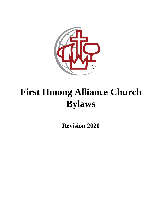

# **First Hmong Alliance Church Bylaws**

**Revision 2020**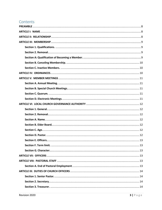## Contents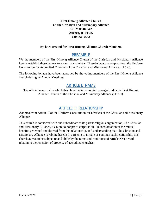**First Hmong Alliance Church Of the Christian and Missionary Alliance 361 Marion Ave Aurora, IL 60505 630-966-9552**

#### **By-laws created for First Hmong Alliance Church Members**

## PREAMBLE

<span id="page-7-0"></span>We the members of the First Hmong Alliance Church of the Christian and Missionary Alliance hereby establish these bylaws to govern our ministry. These bylaws are adapted from the Uniform Constitution for Accredited Churches of the Christian and Missionary Alliance. (A5-8)

The following bylaws have been approved by the voting members of the First Hmong Alliance church during its Annual Meetings.

## ARTICLE I: NAME

<span id="page-7-1"></span>The official name under which this church is incorporated or organized is the First Hmong Alliance Church of the Christian and Missionary Alliance (FHAC).

## ARTICLE II: RELATIONSHIP

<span id="page-7-2"></span>Adopted from Article II of the Uniform Constitution for Districts of the Christian and Missionary Alliance.

This church is connected with and subordinate to its parent religious organization, The Christian and Missionary Alliance, a Colorado nonprofit corporation. In consideration of the mutual benefits generated and derived from this relationship, and understanding that The Christian and Missionary Alliance is relying hereon in agreeing to initiate or continue such relationship, this church agrees to be subject to and abide by the terms and conditions of Article XVI hereof relating to the reversion of property of accredited churches.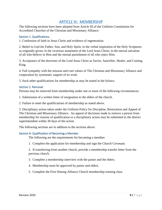## ARTICLE III: MEMBERSHIP

<span id="page-8-0"></span>The following sections have been adopted from Article III of the Uniform Constitution for Accredited Churches of the Christian and Missionary Alliance:

#### <span id="page-8-1"></span>Section 1. Qualifications.

1. Confession of faith in Jesus Christ and evidence of regeneration.

2. Belief in God the Father, Son, and Holy Spirit; in the verbal inspiration of the Holy Scriptures as originally given; in the vicarious atonement of the Lord Jesus Christ; in the eternal salvation of all who believe in Him and the eternal punishment of all who reject Him.

3. Acceptance of the doctrines of the Lord Jesus Christ as Savior, Sanctifier, Healer, and Coming King.

4. Full sympathy with the mission and core values of The Christian and Missionary Alliance and cooperation by systematic support of its work.

5. Such other qualifications for membership as may be stated in the bylaws.

#### <span id="page-8-2"></span>Section 2. Removal.

Persons may be removed from membership under one or more of the following circumstances:

1. Submission of a written letter of resignation to the elders of the church.

2. Failure to meet the qualifications of membership as stated above.

3. Disciplinary action taken under the Uniform Policy for Discipline, Restoration and Appeal of The Christian and Missionary Alliance. An appeal of decisions made to remove a person from membership for reasons of qualification or a disciplinary action may be submitted to the district superintendent within 30 days of the action.

The following sections are in addition to the sections above:

#### <span id="page-8-3"></span>Section A: Qualification of Becoming a Member.

The following are the requirements for becoming a member:

1. Complete the application for membership and sign the Church Covenant.

2. If transferring from another church, provide a membership transfer letter from the previous church.

- 3. Complete a membership interview with the pastor and the elders.
- 4. Membership must be approved by pastor and elders.
- 5. Complete the First Hmong Alliance Church membership training class.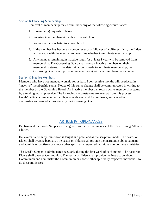#### <span id="page-9-0"></span>Section B. Canceling Membership.

Removal of membership may occur under any of the following circumstances:

- 1. If member(s) requests to leave.
- 2. Entering into membership with a different church.
- 3. Request a transfer letter to a new church.
- 4. If the member has become a non-believer or a follower of a different faith, the Elders will consult with the member to determine whether to terminate membership.
- 5. Any member remaining in inactive status for at least 1 year will be removed from membership. The Governing Board shall consult inactive members on their membership status. If the determination is made to terminate membership, the Governing Board shall provide that member(s) with a written termination letter.

#### <span id="page-9-1"></span>Section C. Inactive Members.

Members who have not attended worship for at least 3 consecutive months will be placed in "inactive" membership status. Notice of this status change shall be communicated in writing to the member by the Governing Board. An inactive member can regain active membership status by attending worship service. The following circumstances are exempt from this process: health/medical absence, school/college attendance, work/career leave, and any other circumstances deemed appropriate by the Governing Board.

## ARTICLE IV: ORDINANCES

<span id="page-9-2"></span>Baptism and the Lord's Supper are recognized as the two ordinances of the First Hmong Alliance Church.

Believer's baptism by immersion is taught and practiced as the scriptural mode. The pastor or Elders shall oversee baptism. The pastor or Elders shall provide the instruction about baptism and administer baptisms or choose other spiritually respected individuals to do these ministries.

The Lord's Supper is administered regularly during the first week of each month. The pastor or Elders shall oversee Communion. The pastor or Elders shall provide the instruction about Communion and administer the Communion or choose other spiritually respected individuals to do these ministries.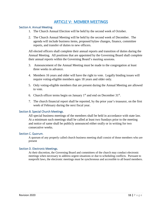## ARTICLE V: MEMBER MEETINGS

#### <span id="page-10-1"></span><span id="page-10-0"></span>Section A. Annual Meeting.

- 1. The Church Annual Election will be held by the second week of October.
- 2. The Church Annual Meeting will be held by the second week of December. The agenda will include business items, proposed bylaw changes, finance, committee reports, and transfer of duties to new officers.

All elected officers shall complete their annual reports and transition of duties during the Annual Meeting. All positions that are appointed by the Governing Board shall complete their annual reports within the Governing Board's meeting sessions.

- 3. Announcement of the Annual Meeting must be made to the congregation at least three weeks in advance.
- 4. Members 16 years and older will have the right to vote. Legally binding issues will require voting-eligible members ages 18 years and older only.
- 5. Only voting-eligible members that are present during the Annual Meeting are allowed to vote.
- 6. Church officer terms begin on January  $1<sup>st</sup>$  and end on December  $31<sup>st</sup>$ .
- 7. The church financial report shall be reported, by the prior year's treasurer, on the first week of February during the next fiscal year.

#### <span id="page-10-2"></span>Section B. Special Church Meetings.

All special business meetings of the members shall be held in accordance with state law. At a minimum such meetings shall be called at least two Sundays prior to the meeting and notice of same shall be publicly announced either orally or in writing for two consecutive weeks.

#### <span id="page-10-3"></span>Section C. Quorum.

A quorum of any properly called church business meeting shall consist of those members who are present

#### <span id="page-10-4"></span>Section D. Electronic Meetings.

At their discretion, the Governing Board and committees of the church may conduct electronic meetings when necessary to address urgent situations or due to scheduling conflicts. Pursuant to nonprofit laws, the electronic meetings must be synchronous and accessible to all board members.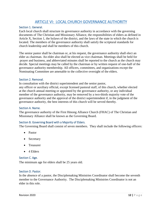## ARTICLE VI: LOCAL CHURCH GOVERNANCE AUTHORITY

#### <span id="page-11-1"></span><span id="page-11-0"></span>Section 1. General.

Each local church shall structure its governance authority in accordance with the governing documents of The Christian and Missionary Alliance, the responsibilities of elders as defined in Article X, Section 1, the bylaws of the district, and the laws of the state in which the church is located. The members of the governance authority shall satisfy the scriptural standards for church leadership and shall be members of this church.

The senior pastor shall be chairman or, at his request, the governance authority shall elect an elder as chairman. An elder also shall be elected as vice chairman. Meetings shall be held for prayer and business, and abbreviated minutes shall be reported to the church as the church may decide. Special meetings may be called by the chairman or by written request of one-half of the governance authority membership. All officers, committees, and organizations except the Nominating Committee are amenable to the collective oversight of the elders.

#### <span id="page-11-2"></span>Section 2. Removal.

In consultation with the district superintendent and the senior pastor,

any officer or auxiliary official, except licensed pastoral staff, of this church, whether elected at the church annual meeting or appointed by the governance authority, or any individual member of the governance authority, may be removed by a two-thirds majority vote of the governance authority and the approval of the district superintendent if, in the judgment of the governance authority, the best interests of this church will be served thereby.

#### <span id="page-11-3"></span>Section A. Name.

The governance authority of the First Hmong Alliance Church (FHAC) of The Christian and Missionary Alliance shall be known as the Governing Board.

#### <span id="page-11-4"></span>Section B. Governing Board with a Majority of Elders.

The Governing Board shall consist of seven members. They shall include the following officers:

- Pastor
- Secretary
- **•** Treasurer
- 4 Elders

#### <span id="page-11-5"></span>Section C. Age.

The minimum age for elders shall be 25 years old.

#### <span id="page-11-6"></span>Section D. Pastor.

In the absence of a pastor, the Disciplemaking Ministries Coordinator shall become the seventh member to the Governance Authority. The Disciplemaking Ministries Coordinator is not an elder in this role.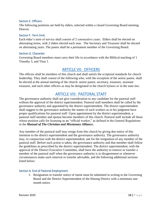#### <span id="page-12-0"></span>Section E. Officers.

The following positions are held by elders, selected within a closed Governing Board meeting: Deacon.

#### <span id="page-12-1"></span>Section F. Term limit.

Each elder's term of service shall consist of 2 consecutive years. Elders shall be elected on alternating terms, with 2 elders elected each year. The Secretary and Treasurer shall be elected on alternating years. The pastor shall be a permanent member of the Governing Board.

#### <span id="page-12-2"></span>Section G. Character.

Governing Board members must carry their life in accordance with the Biblical teaching of 1 Timothy 3, and Titus 1.

## ARTICLE VII: OFFICERS

<span id="page-12-3"></span>The officers shall be members of this church and shall satisfy the scriptural standards for church leadership. They shall consist of the following who, with the exception of the senior pastor, shall be elected at the annual meeting of the church: senior pastor, secretary, treasurer, assistant treasurer, and such other officers as may be designated in the church bylaws or in the state law.

## ARTICLE VIII: PASTORAL STAFF

<span id="page-12-4"></span>The governance authority shall not give consideration to any candidate for the pastoral staff without the approval of the district superintendent. Pastoral staff members shall be called by the governance authority and appointed by the district superintendent. The district superintendent shall suggest to the governance authority the names of such workers as in his judgment have proper qualifications for pastoral staff. Upon appointment by the district superintendent, a pastoral staff member and spouse become members of this church. Pastoral staff include all those whose position calls for licensing as an "official worker," as defined in the General Regulations in the *Manual of The Christian and Missionary Alliance***.**

Any member of the pastoral staff may resign from this church by giving due notice of this intention to the district superintendent and the governance authority. The governance authority may, in conjunction with the district superintendent, ask for the resignation of any member of the pastoral staff. Before such action is taken, the governance authority and that member shall follow the guidelines as prescribed by the district superintendent. The district superintendent, with the approval of the District Executive Committee, shall have the authority to remove or transfer a member of the pastoral staff when the governance authority is in disagreement or whenever circumstances make such removal or transfer advisable, and the following additional sections listed below:

#### <span id="page-12-5"></span>Section A. End of Pastoral Employment

1. Resignation or transfer notice of intent must be submitted in writing to the Governing Board and the District Superintendent of the Hmong District with a minimum onemonth notice.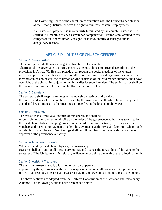- 2. The Governing Board of the church, in consultation with the District Superintendent of the Hmong District, reserves the right to terminate pastoral employment.
- 3. If a Pastor's employment is involuntarily terminated by the church, Pastor shall be entitled to 1-month's salary as severance compensation. Pastor is not entitled to this compensation if he voluntarily resigns or is involuntarily discharged due to disciplinary reasons.

## ARTICLE IX: DUTIES OF CHURCH OFFICERS

#### <span id="page-13-1"></span><span id="page-13-0"></span>Section 1. Senior Pastor.

The senior pastor shall have oversight of this church. He shall be chairman of the governance authority except as he may choose to proceed according to the provisions in Article VI. He shall preside at all regular or special meetings of the church membership. He is a member ex officio of all church committees and organizations. When the membership has no pastor, the chairman or vice chairman of the governance authority shall have oversight of the church in conjunction with the district superintendent. The senior pastor shall be the president of this church where such office is required by law.

#### <span id="page-13-2"></span>Section 2. Secretary.

The secretary shall keep the minutes of membership meetings and conduct the correspondence of this church as directed by the governance authority. The secretary shall attend and keep minutes of other meetings as specified in the local church bylaws.

#### <span id="page-13-3"></span>Section 3. Treasurer.

The treasurer shall receive all monies of this church and shall be responsible for the payment of all bills on the order of the governance authority as specified by the local church bylaws, keeping proper book records of all transactions, and filing canceled vouchers and receipts for payments made. The governance authority shall determine where funds of this church shall be kept. No offerings shall be solicited from the membership except upon approval of the governance authority.

#### <span id="page-13-4"></span>Section 4. Missionary Treasurer.

When required by local church bylaws, the missionary treasurer shall account for all missionary monies and oversee the forwarding of the same to the treasurer of The Christian and Missionary Alliance on or before the tenth of the following month.

#### <span id="page-13-5"></span>Section 5. Assistant Treasurer.

The assistant treasurer shall, with another person or persons appointed by the governance authority, be responsible to count all monies and keep a separate record of all receipts. The assistant treasurer may be empowered to issue receipts to the donors.

The above sections are adopted from the Uniform Constitution of the Christian and Missionary Alliance. The following sections have been added below: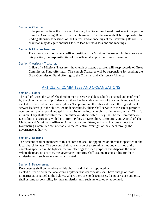#### <span id="page-14-0"></span>Section A. Chairman.

If the pastor declines the office of chairman, the Governing Board must select one person from the Governing Board to be the chairman. The chairman shall be responsible for leading all business sessions of the Church, and all meetings of the Governing Board. The chairman may delegate another Elder to lead business sessions and meetings.

#### <span id="page-14-1"></span>Section B. Missions Treasurer.

The church does not have an officer position for a Missions Treasurer. In the absence of this position, the responsibilities of this office falls upon the church Treasurer.

#### <span id="page-14-2"></span>Section C. Assistant Treasurer.

In lieu of a Missions Treasurer, the church assistant treasurer will keep records of Great Commission Fund offerings. The church Treasurer will be responsible for sending the Great Commission Fund offerings to the Christian and Missionary Alliance.

## ARTICLE X: COMMITEES AND ORGANIZATIONS

#### <span id="page-14-4"></span><span id="page-14-3"></span>Section 1. Elders.

The call of Christ the Chief Shepherd to men to serve as elders is both discerned and confirmed by the church membership. Elders shall therefore be male members of this church and shall be elected as specified in the church bylaws. The pastor and the other elders are the highest level of servant leadership in the church. As undershepherds, elders shall serve with the senior pastor to oversee both the temporal and spiritual affairs of the local church in order to accomplish Christ's mission. They shall constitute the Committee on Membership. They shall be the Committee on Discipline in accordance with the Uniform Policy on Discipline, Restoration, and Appeal of The Christian and Missionary Alliance. All officers, committees, and organizations except the Nominating Committee are amenable to the collective oversight of the elders through the governance authority.

#### <span id="page-14-5"></span>Section 2. Deacons.

The deacons shall be members of this church and shall be appointed or elected as specified in the local church bylaws. The deacons shall have charge of those ministries and charities of the church as specified in the bylaws, receive offerings for such purposes and dispense the same. Where there are no deacons, the governance authority shall assume responsibility for their ministries until such are elected or appointed.

#### <span id="page-14-6"></span>Section 3. Deaconesses.

Deaconesses shall be members of this church and shall be appointed or elected as specified in the local church bylaws. The deaconesses shall have charge of those ministries as specified in the bylaws. Where there are no deaconesses, the governance authority shall assume responsibility for their ministries until such are elected or appointed.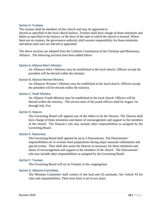#### <span id="page-15-0"></span>Section 4. Trustees.

The trustees shall be members of this church and may be appointed or elected as specified in the local church bylaws. Trustees shall have charge of those ministries and duties as specified in the bylaws, or the laws of the state in which the church is located. Where there are no trustees, the governance authority shall assume responsibility for those ministries and duties until such are elected or appointed.

The above sections are adopted from the Uniform Constitution of the Christian and Missionary Alliance. The following sections have been added below:

#### <span id="page-15-1"></span>Section A. Alliance Men's Ministry.

An Alliances Men's Ministry may be established in the local church. Officers except the president will be elected within the ministry.

#### <span id="page-15-2"></span>Section B. Alliance Women Ministry.

An Alliances Women's Ministry may be established in the local church. Officers except the president will be elected within the ministry.

#### <span id="page-15-3"></span>Section C. Youth Ministry.

An Alliance Youth Ministry may be established in the local church. Officers will be elected within the ministry. The service term of the youth officers shall be August 1st through July 31st.

#### <span id="page-15-4"></span>Section D. Deacon.

The Governing Board will appoint one of the elders to be the Deacon. The Deacon shall have charge of those ministries and duties of encouragement and support to the members of the church. The Deacon's role may include other responsibilities as assigned by the Governing Board.

#### <span id="page-15-5"></span>Section E. Deaconess.

The Governing Board shall appoint be up to 4 Deaconesses. The Deaconesses' responsibilities are to oversee meal preparations during major seasonal celebrations and special events. They shall also assist the Deacon as necessary for those ministries and duties of encouragement and support to the members of the church. The Deaconesses' role may include other responsibilities as assigned by the Governing Board.

#### <span id="page-15-6"></span>Section F. Trustees.

The Governing Board will act as Trustees in the congregation.

#### <span id="page-15-7"></span>Section G. Missions Committee.

The Missions Committee shall consist of one lead and (3) assistants. See Article XI for roles and responsibilities. Their term limit is set to two years.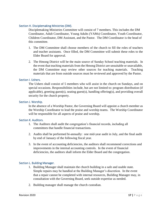#### <span id="page-16-0"></span>Section H. Disciplemaking Ministries (DM).

Disciplemaking Ministries Committee will consist of 7 members. This includes the DM Coordinator, Adult Coordinator, Young Adults (YAMs) Coordinator, Youth Coordinator, Children Coordinator, DM Assistant, and the Pastor. The DM Coordinator is the head of this committee.

- 1. The DM Committee shall choose members of the church to fill the roles of teachers and teacher assistants. Once filled, the DM Committee will submit these roles to the Elder Board for approval.
- 2. The Hmong District will be the main source of Sunday School teaching materials. In the event that teaching materials from the Hmong District are unsuitable or unavailable, the DM Committee may review other sources for teaching materials. Teaching materials that are from outside sources must be reviewed and approved by the Pastor.

#### <span id="page-16-1"></span>Section I. Ushers.

The Ushers shall consist of 5 members who will assist in the church on Sundays, and on special occasions. Responsibilities include, but are not limited to: program distribution (if applicable), greeting guest(s), seating guest(s), handling offering(s), and providing overall security for the church property.

#### <span id="page-16-2"></span>Section J. Worship.

In the absence of a Worship Pastor, the Governing Board will appoint a church member as the Worship Coordinator to lead the praise and worship teams. The Worship Coordinator will be responsible for all aspects of praise and worship.

#### <span id="page-16-3"></span>Section K. Auditors.

- 1. The Auditors shall audit the congregation's financial records, including all committees that handle financial transactions.
- 2. Audits shall be performed bi-annually: one mid-year audit in July, and the final audit by end of January of the following fiscal year.
- 3. In the event of accounting deficiencies, the auditors shall recommend corrections and improvements in the internal accounting controls. In the event of financial deficiencies, the auditors shall inform the Elder Board and the congregation.

#### <span id="page-16-4"></span>Section L. Building Manager.

- 1. Building Manager shall maintain the church building in a safe and usable state. Simple repairs may be handled at the Building Manager's discretion. In the event that a repair cannot be completed with internal resources, Building Manager may, in consultation with the Governing Board, seek outside expertise as needed.
- 2. Building manager shall manage the church custodian.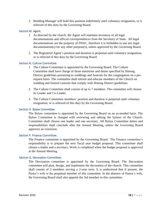3. Building Manager will hold this position indefinitely until voluntary resignation, or is relieved of this duty by the Governing Board.

#### <span id="page-17-0"></span>Section M. Agent.

- 1. As directed by the church, the Agent will maintain inventory of all legal documentations and official correspondences from the Secretary of State. All legal documentations are the property of FHAC, therefore it is forbidden to use any legal documentation(s) for any other purpose(s), unless approved by the Governing Board.
- 2. The Registered Agent's position and duration is perpetual until voluntary resignation, or is relieved of this duty by the Governing Board.

#### <span id="page-17-1"></span>Section N. Culture Committee.

- 1. The Culture Committee is appointed by the Governing Board. The Culture Committee shall have charge of those ministries and duties specified by Hmong District guidelines pertaining to weddings and funerals for the congregation on a perrequest basis. The committee shall inform and educate members of the Church on wedding and funeral customs that comply with Hmong District guidelines.
- 2. The Culture Committee shall consist of up to 7 members. The committee will choose its Leader and Co-Leader.
- 3. The Culture Committee members' position and duration is perpetual until voluntary resignation, or is relieved of this duty by the Governing Board.

#### <span id="page-17-2"></span>Section O. Bylaw Committee.

The Bylaw committee is appointed by the Governing Board on an as-needed basis. The Bylaw Committee is charged with reviewing and editing the bylaws of the Church. Committee shall choose one leader and one secretary. All Bylaw Committee duties and responsibilities shall conclude after the Annual Meeting, unless the Governing Board approves an extension.

#### <span id="page-17-3"></span>Section P. Finance Committee.

The Finance committee is appointed by the Governing Board. The Finance committee's responsibility is to prepare the next fiscal year budget proposal. This committee shall choose a leader and a secretary. Work is completed when the budget proposal is approved at the Annual Meeting.

#### <span id="page-17-4"></span>Section Q. Decoration Committee.

The Decoration committee is appointed by the Governing Board. The Decoration committee will plan, design, and implement the decoration of the church. This committee shall consist of 3 members serving a 2-year term. It is understood that if present, the Pastor's wife is the perpetual member of this committee. In the absence of Pastor's wife, the Governing Board shall also appoint the 3rd member to this committee.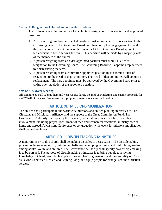#### <span id="page-18-0"></span>Section R. Resignation of Elected and Appointed positions.

The following are the guidelines for voluntary resignation from elected and appointed positions:

- 1. A person resigning from an elected position must submit a letter of resignation to the Governing Board. The Governing Board will then notify the congregation to see if they will choose to elect a new replacement or let the Governing Board appoint a replacement to finish serving the term. This decision will be made by a majority vote of the members of the church.
- 2. A person resigning from an elder-appointed position must submit a letter of resignation to the Governing Board. The Governing Board will appoint a replacement to finish serving the term.
- 3. A person resigning from a committee-appointed position must submit a letter of resignation to the Head of that committee. The Head of that committee will appoint a replacement. The new appointee must be approved by the Governing Board prior to taking over the duties of the appointed position.

#### <span id="page-18-1"></span>Section S. Midyear Meeting.

All committees shall submit their mid-year reports during the mid-year meeting, and submit proposals for the 2nd half of the year if necessary. All proposal presentations must be in writing.

## ARTICLE XI: MISSIONS MOBILIZATION

<span id="page-18-2"></span>The church shall participate in the worldwide missions and church planting ministries of The Christian and Missionary Alliance, and the support of the Great Commission Fund. The Governance Authority shall specify the means by which it purposes to mobilize members' involvement, including prayer, recruitment of men and women for vocational ministry both at home and abroad. A Missions Conference or congregation-wide event for missions mobilization shall be held each year.

## ARTICLE XII: DISCIPLEMAKING MINISTRIES

<span id="page-18-3"></span>A major ministry of this church shall be making disciples of Jesus Christ. The disciplemaking process includes evangelism, building up believers, equipping workers, and multiplying leaders, among adults, youth, and children. The Governance Authority shall specify how disciplemaking is to be pursued. The purpose of disciplemaking ministries is to bring people to a saving knowledge of Christ, teach biblical principles emphasizing missions and the centrality of Christ as Savior, Sanctifier, Healer, and Coming King, and equip people for evangelism and Christian service.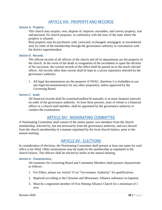## ARTICLE XIII: PROPERTY AND RECORDS

#### <span id="page-19-1"></span><span id="page-19-0"></span>Section A. Property.

This church may acquire, own, dispose of, improve, encumber, and convey property, real and personal, for church purposes, in conformity with the laws of the state where the property is situated.

Real property may be purchased, sold, conveyed, exchanged, mortgaged, or encumbered only by order of the membership through the governance authority in consultation with the district superintendent.

#### <span id="page-19-2"></span>Section B. Records.

The official records of all officers of the church and all its departments are the property of the church. In the event of the death or resignation of the incumbent or upon the election of his successor, the current records of the office shall be passed on to the newly elected officer. All records other than current shall be kept in a secure repository selected by the governance authority.

1. All legal documentations are the property of FHAC, therefore it is forbidden to use any legal documentation(s) for any other purpose(s), unless approved by the Governing Board.

#### <span id="page-19-3"></span>Section C. Audit.

All financial records shall be examined/audited bi-annually or at more frequent intervals on order of the governance authority. At least three persons, none of whom is a financial officer or a church staff member, shall be appointed by the governance authority to conduct the examination.

## ARTICLE XIV: NOMINATING COMMITTEE

<span id="page-19-4"></span>A Nominating Committee shall consist of the senior pastor, two members from the church membership, selected by, but not necessarily from the governance authority, and two elected from the church membership in a manner stipulated by the local church bylaws, prior to the annual meeting.

## ARTICLE XV: ELECTIONS

<span id="page-19-5"></span>In consideration of elections, the Nominating Committee shall present at least one name for each office to be filled. Other nominations may be made by the membership as stipulated in the church bylaws. The officers shall be elected by ballot at the annual meeting.

#### <span id="page-19-6"></span>Section A. Characteristics.

All nominees for Governing Board and Committee Members shall possess characteristic as follows:

- 1. For Elders, please see Article VI on "Governance Authority" for qualifications.
- 2. Baptized according to the Christian and Missionary Alliance ordinance on baptism.
- 3. Must be a registered member of First Hmong Alliance Church for a minimum of 1 year.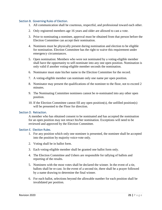#### <span id="page-20-0"></span>Section B. Governing Rules of Election.

- 1. All communication shall be courteous, respectful, and professional toward each other.
- 2. Only registered members age 16 years and older are allowed to cast a vote.
- 3. Prior to nominating a nominee, approval must be obtained from that person before the Election Committee can accept their nomination.
- 4. Nominees must be physically present during nomination and election to be eligible for nomination. Election Committee has the right to waive this requirement under emergency circumstances.
- 5. Open nomination: Members who were not nominated by a voting-eligible member shall have the opportunity to self-nominate into any one open position. Nomination is only valid if another voting-eligible member seconds the nomination.
- 6. Nominator must state his/her name to the Election Committee for the record.
- 7. A voting-eligible member can nominate only one name per open position.
- 8. Nominator may present the qualifications of the nominee to the floor, not to exceed 2 minutes.
- 9. The Nominating Committee nominees cannot be re-nominated into any other open position.
- 10. If the Election Committee cannot fill any open position(s), the unfilled position(s) will be presented to the Floor for direction.

#### <span id="page-20-1"></span>Section D. Retraction.

A member who has obtained consent to be nominated and has accepted the nomination for an open position may not retract his/her nomination. Exceptions will need to be reviewed and approved by the Election Committee.

#### <span id="page-20-2"></span>Section E. Election Rules.

- 1. For any position which only one nominee is presented, the nominee shall be accepted into the position by majority voice-vote only.
- 2. Voting shall be in ballot form.
- 3. Each voting-eligible member shall be granted one ballot form only.
- 4. The Election Committee and Ushers are responsible for tallying of ballots and reporting of the results.
- 5. Nominees with the most votes shall be declared the winner. In the event of a tie, ballots shall be re-cast. In the event of a second tie, there shall be a prayer followed by a name drawing to determine the final winner.
- 6. For each ballot, selections beyond the allowable number for each position shall be invalidated per position.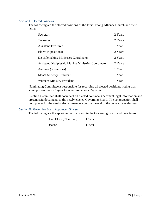#### <span id="page-21-0"></span>Section F. Elected Positions.

The following are the elected positions of the First Hmong Alliance Church and their terms:

| Secretary                                                   | 2 Years |
|-------------------------------------------------------------|---------|
| <b>Treasurer</b>                                            | 2 Years |
| <b>Assistant Treasurer</b>                                  | 1 Year  |
| Elders (4 positions)                                        | 2 Years |
| Disciplemaking Ministries Coordinator                       | 2 Years |
| <b>Assistant Discipleship Making Ministries Coordinator</b> | 2 Years |
| Auditors (3 positions)                                      | 1 Year  |
| Men's Ministry President                                    | 1 Year  |
| <b>Womens Ministry President</b>                            | 1 Year  |

Nominating Committee is responsible for recording all elected positions, noting that some positions are a 1-year term and some are a 2-year term.

Election Committee shall document all elected nominee's pertinent legal information and present said documents to the newly elected Governing Board. The congregation shall hold prayer for the newly elected members before the end of the current calendar year.

#### <span id="page-21-1"></span>Section G. Governing Board Appointed Officers

The following are the appointed officers within the Governing Board and their terms:

Head Elder (Chairman) 1 Year

Deacon 1 Year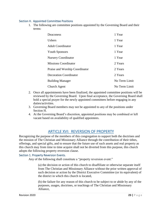#### <span id="page-22-0"></span>Section H. Appointed Committee Positions

1. The following are committee positions appointed by the Governing Board and their terms:

| Deaconess                      | 1 Year        |
|--------------------------------|---------------|
| Ushers                         | 1 Year        |
| <b>Adult Coordinator</b>       | 1 Year        |
| <b>Youth Sponsors</b>          | 1 Year        |
| <b>Nursery Coordinator</b>     | 1 Year        |
| <b>Missions Coordinator</b>    | 2 Years       |
| Praise and Worship Coordinator | 2 Years       |
| <b>Decoration Coordinator</b>  | 2 Years       |
| <b>Building Manager</b>        | No Term Limit |
| Church Agent                   | No Term Limit |

- 2. Once all appointments have been finalized, the appointed committee positions will be reviewed by the Governing Board. Upon final acceptance, the Governing Board shall hold a special prayer for the newly appointed committees before engaging in any duties/activities.
- 3. Governing Board members may not be appointed to any of the positions under Section H.
- 4. At the Governing Board's discretion, appointed positions may be combined or left vacant based on availability of qualified appointees.

## ARTICLE XVI: REVERSION OF PROPERTY

<span id="page-22-1"></span>Recognizing the purpose of the members of this congregation to support both the doctrines and the mission of The Christian and Missionary Alliance through the contribution of their tithes, offerings, and special gifts, and to ensure that the future use of such assets and real property as this church may from time to time acquire shall not be diverted from this purpose, this church adopts the following property reversion clause.

#### <span id="page-22-2"></span>Section 1. Property Reversion Events.

Any of the following shall constitute a "property reversion event:"

(a) the decision or action of this church to disaffiliate or otherwise separate itself from The Christian and Missionary Alliance without the prior written approval of such decision or action by the District Executive Committee (or its equivalent) of the district in which this church is located,

(b) the failure for any reason of this church to be subject to or abide by any of the purposes, usages, doctrines, or teachings of The Christian and Missionary Alliance,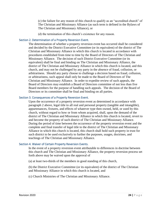(c) the failure for any reason of this church to qualify as an "accredited church" of The Christian and Missionary Alliance (as such term is defined in the Bylaws of The Christian and Missionary Alliance), or

(d) the termination of this church's existence for any reason.

#### <span id="page-23-0"></span>Section 2. Determination of a Property Reversion Event.

The determination of whether a property reversion event has occurred shall be considered and decided by the District Executive Committee (or its equivalent) of the district of The Christian and Missionary Alliance in which this church is located in accordance with procedures established from time to time by the Board of Directors of The Christian and Missionary Alliance. The decision of such District Executive Committee (or its equivalent) shall be final and binding on The Christian and Missionary Alliance, the district of The Christian and Missionary Alliance in which this church is located, and this church, and may not be challenged by any party in the absence of fraud, collusion, or arbitrariness. Should any party choose to challenge a decision based on fraud, collusion, or arbitrariness, such appeal shall only be made to the Board of Directors of The Christian and Missionary Alliance. In order to expedite review of such appeals, the Board of Directors may establish a Board of Directors committee of not less than five Board members for the purpose of handling such appeals. The decision of the Board of Directors or its committee shall be final and binding on all parties.

#### <span id="page-23-1"></span>Section 3. Consequences of a Property Reversion Event.

Upon the occurrence of a property reversion event as determined in accordance with paragraph 2 above, legal title to all real and personal property (tangible and intangible), appurtenances, fixtures, and effects of whatever type then owned, held, or used by this church, without regard to how or from whom acquired, shall, upon the demand of the district of The Christian and Missionary Alliance in which this church is located, revert to and become the property of such district of The Christian and Missionary Alliance. During the period of time between the occurrence of the property reversion event and the complete and final transfer of legal title to the district of The Christian and Missionary Alliance in which this church is located, this church shall hold such property in trust for such district to be used exclusively to further the purposes, usages, doctrines, and teachings of The Christian and Missionary Alliance.

#### <span id="page-23-2"></span>Section 4. Waiver of Certain Property Reversion Events.

In the event of a property reversion event attributable to differences in doctrine between this church and The Christian and Missionary Alliance, the property reversion process set forth above may be waived upon the approval of

(a) at least two-thirds of the members in good standing of this church,

(b) the District Executive Committee (or its equivalent) of the district of The Christian and Missionary Alliance in which this church is located, and

(c) Church Ministries of The Christian and Missionary Alliance.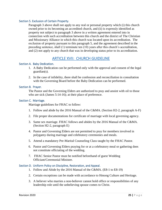#### <span id="page-24-0"></span>Section 5. Exclusion of Certain Property.

Paragraph 3 above shall not apply to any real or personal property which (i) this church owned prior to its becoming an accredited church, and (ii) is expressly identified as property not subject to paragraph 3 above in a written agreement entered into in connection with such accreditation between this church and the district of The Christian and Missionary Alliance in which this church was located upon its accreditation. The exclusion of property pursuant to this paragraph 5, and the agreement described in the preceding sentence, shall (1) terminate ten (10) years after this church's accreditation, and (2) not apply to any church that was in developing status prior to its accreditation.

## ARTICLE XVII: CHURCH GUIDELINE

#### <span id="page-24-2"></span><span id="page-24-1"></span>Section A. Baby Dedication.

- 1. A Baby Dedication can be performed only with the approval and consent of the legal guardian(s).
- 2. In the case of infidelity, there shall be confession and reconciliation in consultation with the Governing Board before the Baby Dedication can be performed.

#### <span id="page-24-3"></span>Section B. Prayer.

The Pastor and the Governing Elders are authorized to pray and anoint with oil to those who are sick (James 5:14-16); at their place of preference.

#### <span id="page-24-4"></span>Section C. Marriage.

Marriage guidelines for FHAC to follow:

- 1. Follow and abide by the 2016 Manual of the C&MA. (Section H2-2, paragraph A-F)
- 2. File proper documentations for certificate of marriage with local governing agency.
- 3. Same sex marriage. FHAC follows and abides by the 2016 Manual of the C&MA. (Section H2-2, paragraph E)
- 4. Pastor and Governing Elders are not permitted to pray for members involved in polygamy during marriage and celebratory ceremonies and meals.
- 5. Attend a mandatory Pre-Marital Counseling Class taught by the FHAC Pastor.
- 6. Pastor and Governing Elders praying for or at a celebratory meal or gathering does not constitute officiating of the wedding.
- 7. FHAC Senior Pastor must be notified beforehand of guest Wedding Officiant/Ceremonial Minister.

#### <span id="page-24-5"></span>Section D. Uniform Policy on Discipline, Restoration, and Appeal.

- 1. Follow and Abide by the 2016 Manual of the C&MA. (E8-1 to E8-19)
- 2. Certain exceptions can be made with accordance to Hmong Culture and Heritage.
- 3. A believer who marries a non-believer cannot hold office or responsibilities of any leadership role until the unbelieving spouse comes to Christ.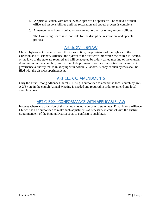- 4. A spiritual leader, with office, who elopes with a spouse will be relieved of their office and responsibilities until the restoration and appeal process is complete.
- 5. A member who lives in cohabitation cannot hold office or any responsibilities.
- 6. The Governing Board is responsible for the discipline, restoration, and appeals process.

## Article XVIII: BYLAW

<span id="page-25-0"></span>Church bylaws not in conflict with this Constitution, the provisions of the Bylaws of the Christian and Missionary Alliance, the bylaws of the district within which the church is located, or the laws of the state are required and will be adopted by a duly called meeting of the church. As a minimum, the church bylaws will include provisions for the composition and name of its governance authority that is in keeping with Article VI above. A copy of such bylaws shall be filed with the district superintendent.

## ARTICLE XIX: AMENDMENTS

<span id="page-25-1"></span>Only the First Hmong Alliance Church (FHAC) is authorized to amend the local church bylaws. A 2/3 vote in the church Annual Meeting is needed and required in order to amend any local church bylaws.

## ARTICLE XX: CONFORMANCE WITH APPLICABLE LAW

<span id="page-25-2"></span>In cases where any provision of this bylaw may not conform to state laws, First Hmong Alliance Church shall be authorized to make such adjustments as necessary in counsel with the District Superintendent of the Hmong District so as to conform to such laws.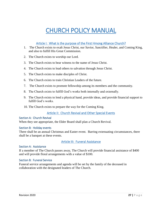## CHURCH POLICY MANUAL

#### Article I: What is the purpose of the First Hmong Alliance Church?

- <span id="page-26-1"></span><span id="page-26-0"></span>1. The Church exists to exalt Jesus Christ, our Savior, Sanctifier, Healer, and Coming King, and also to fulfill His Great Commission.
- 2. The Church exists to worship our Lord.
- 3. The Church exists to bear witness to the name of Jesus Christ.
- 4. The Church exists to lead others to salvation through Jesus Christ.
- 5. The Church exists to make disciples of Christ.
- 6. The Church exists to train Christian Leaders of the future.
- 7. The Church exists to promote fellowship among its members and the community.
- 8. The Church exists to fulfill God's works both internally and externally.
- 9. The Church exists to lend a physical hand, provide ideas, and provide financial support to fulfill God's works.
- 10. The Church exists to prepare the way for the Coming King.

#### Article II: Church Revival and Other Special Events

#### <span id="page-26-3"></span><span id="page-26-2"></span>Section A: Church Revival

When they see appropriate, the Elder Board shall plan a Church Revival.

#### <span id="page-26-4"></span>Section B: Holiday events

There shall be an annual Christmas and Easter event. Barring extenuating circumstances, there shall be a banquet at these events.

#### <span id="page-26-5"></span>Article III: Funeral Assistance

#### <span id="page-26-6"></span>Section A: Assistance

If a member of The Church passes away, The Church will provide financial assistance of \$400 and will provide floral arrangements with a value of \$100.

#### <span id="page-26-7"></span>Section B: Funeral Service

Funeral service arrangements and agenda will be set by the family of the deceased in collaboration with the designated leaders of The Church.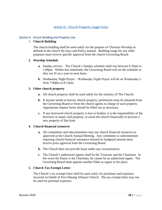#### Article IV: Church Property Usage Policy

#### <span id="page-27-1"></span><span id="page-27-0"></span>Section A. Church Building and Property Use

#### 1. **Church Building**

The church building shall be used solely for the purpose of Christian Worship as defined in the church By-laws and Policy manual. Building usage for any other purposes must receive specific approval from the church Governing Board.

#### **2. Worship Schedule**

- **a.** Sunday service The Church's Sunday schedule shall run between 8:30am to 1:00pm. Within this timeframe, the Governing Board will set the schedule as they see fit on a year-to-year basis.
- **b.** Wednesday Night Prayer Wednesday Night Prayer will be on Wednesday's from 7:00pm to 8:15pm.

#### **3. Other church property**

- **a.** All church property shall be used solely for the ministry of The Church.
- **b.** If anyone needs to borrow church property, permission must be obtained from the Governing Board or from the church agents in charge of such property. Appropriate request forms should be filled out as necessary.
- **c.** If any borrowed church property is lost or broken, it is the responsibility of the borrower to repair said property, or assist the church financially to procure a new property of like kind.

#### **4. Church financial resources**

- **a.** All committees and subcommittees may use church financial resources as approved at the Church Annual Meeting. Any committee or subcommittee requiring church financial assistance beyond its budgeted amount must receive prior approval from the Governing Board.
- **b.** The Church does not provide loans under any circumstances.
- **c.** The Church's authorized signers shall be the Treasurer and the Chairman. In the event the Pastor is the Chairman, he cannot be an authorized signer. The Governing Board must appoint another Elder as signer in his place.

#### **5. Church Tax Exempt Letter**

The Church's tax exempt letter shall be used solely for purchases and expenses incurred on behalf of First Hmong Alliance Church. The tax exempt letter may not be used for personal expenses.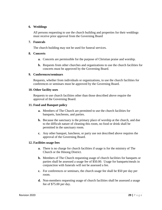#### **6. Weddings**

All persons requesting to use the church building and properties for their weddings must receive prior approval from the Governing Board

#### **7. Funerals**

The church building may not be used for funeral services.

#### **8. Concerts**

- **a.** Concerts are permissible for the purpose of Christian praise and worship.
- **b.** Requests from other churches and organizations to use the church facilities for concerts must be approved by the Governing Board.

#### **9. Conferences/seminars**

Requests, whether from individuals or organizations, to use the church facilities for conferences or seminars must be approved by the Governing Board.

#### **10. Other facility uses**

Requests to use church facilities other than those described above require the approval of the Governing Board.

#### **11. Food and Banquet policy**

- **a.** Members of The Church are permitted to use the church facilities for banquets, luncheons, and parties.
- **b.** Because the sanctuary is the primary place of worship at the church, and due to the difficult nature of cleaning this room, no food or drink shall be permitted in the sanctuary room.
- **c.** Any other banquet, luncheon, or party use not described above requires the approval of the Governing Board.

#### **12. Facilities usage fees**

- **a.** There is no charge for church facilities if usage is for the ministry of The Church or the Hmong District.
- **b.** Members of The Church requesting usage of church facilities for banquets or parties shall be assessed a usage fee of \$50.00. Usage for banquets/meals in conjunction with funerals will not be assessed a fee.
- **c.** For conferences or seminars, the church usage fee shall be \$50 per day per room.
- **d.** Non-members requesting usage of church facilities shall be assessed a usage fee of \$75.00 per day.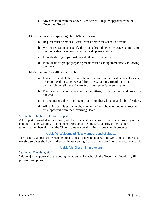**e.** Any deviation from the above listed fees will require approval from the Governing Board.

#### **13. Guidelines for requesting church/facilities use**

- **a.** Request must be made at least 1 week before the scheduled event.
- **b.** Written request must specify the rooms desired. Facility usage is limited to the rooms that have been requested and approved only.
- **c.** Individuals or groups must provide their own security.
- **d.** Individuals or groups preparing meals must clean up immediately following their event.

#### **14. Guidelines for selling at church**

- **a.** Items to be sold at church must be of Christian and biblical values. However, prior approval must be received from the Governing Board. It is not permissible to sell items for any individual seller's personal gain.
- **b.** Fundraising for church programs, committees, subcommittees, and projects is allowed.
- **c.** It is not permissible to sell items that contradict Christian and biblical values.
- **d.** All selling activities at church, whether defined above or not, must receive prior approval from the Governing Board.

#### <span id="page-29-0"></span>Section B. Retention of Church property.

All property provided to the church, whether financial or material, become sole property of First Hmong Alliance Church. If a member or group of members voluntarily or involuntarily terminate membership from the Church, they waive all claims to any church property.

#### Article V: Welcome of New Members and of Guests

<span id="page-29-1"></span>The Pastor shall perform welcome proceedings for new members. The welcoming of guests to worship services shall be handled by the Governing Board as they see fit on a year-to-year basis.

### Article VI: Church Employment

#### <span id="page-29-3"></span><span id="page-29-2"></span>Section A: Church lay staff.

With majority approval of the voting members of The Church, the Governing Board may fill positions as approved.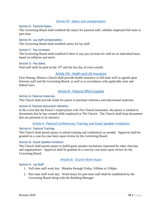#### Article VII: Salary and compensation

#### <span id="page-30-1"></span><span id="page-30-0"></span>Section A: Pastoral Salary.

The Governing Board shall establish the salary for pastoral staff, whether employed full-time or part-time.

#### <span id="page-30-2"></span>Section B: Lay staff compensation.

The Governing Board shall establish salary for lay staff.

#### <span id="page-30-3"></span>Section C: Pay increases.

The Governing Board shall establish if there is any pay increase for staff on an individual basis, based on inflation and merit.

#### <span id="page-30-4"></span>Section D: Pay dates.

Paid staff shall be paid on the  $15<sup>th</sup>$  and the last day of every month.

#### Article VIII: Health and Life Insurance

<span id="page-30-5"></span>First Hmong Alliance Church shall provide health insurance to full-time staff as agreed upon between staff and the Governing Board, as well as in accordance with applicable state and federal laws.

#### Article IX: Pastoral Office Supplies

#### <span id="page-30-7"></span><span id="page-30-6"></span>Section A: Pastoral materials.

The Church shall provide funds for pastor to purchase reference and educational materials.

#### <span id="page-30-8"></span>Section B: Pastoral document retention.

In the event that the Pastor's employment with The Church terminates, the pastor is entitled to documents that he has created while employed at The Church. The Church shall keep documents that are pertinent to its ministry.

#### Article X: Pastoral Conferences, Training, and Guest Speaker Invitations

#### <span id="page-30-10"></span><span id="page-30-9"></span>Section A: Pastoral Training.

The Church shall permit pastor to attend training and conferences as needed. Approval shall be granted on a case-by-case basis upon review by the Governing Board.

#### <span id="page-30-11"></span>Section B: Guest Speaker Invitation.

The Church shall permit pastor to fulfill guest speaker invitations requested by other churches and organizations. Approval shall be granted on a case-by-case basis upon review by the Governing Board.

#### Article XI: Church Work Hours

#### <span id="page-30-13"></span><span id="page-30-12"></span>Section A: Lay Staff.

- 1. Full time staff work day: Monday through Friday, 9:00am to 5:00pm
- 2. Part-time staff work day: Work hours for part-time staff shall be established by the Governing Board along with the Building Manager.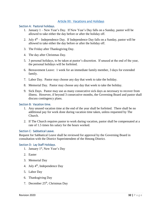#### Article XII: Vacations and Holidays

#### <span id="page-31-1"></span><span id="page-31-0"></span>Section A: Pastoral holidays.

- 1. January 1 New Year's Day. If New Year's Day falls on a Sunday, pastor will be allowed to take either the day before or after the holiday off.
- 2. July  $4<sup>th</sup>$  Independence Day. If Independence Day falls on a Sunday, pastor will be allowed to take either the day before or after the holiday off.
- 3. The Friday after Thanksgiving Day.
- 4. The day after Christmas Day.
- 5. 3 personal holidays, to be taken at pastor's discretion. If unused at the end of the year, the personal holidays will be forfeited.
- 6. Bereavement Leave: 1 week for an immediate family member, 3 days for extended family.
- 7. Labor Day. Pastor may choose any day that week to take the holiday.
- 8. Memorial Day. Pastor may choose any day that week to take the holiday.
- 9. Sick Days. Pastor may use as many consecutive sick days as necessary to recover from illness. However, if beyond 3 consecutive months, the Governing Board and pastor shall discuss contingency plans.

#### <span id="page-31-2"></span>Section B: Vacation time.

- 1. Any unused vacation time at the end of the year shall be forfeited. There shall be no additional pay for work done during vacation time taken, unless requested by The Church.
- 2. If The Church requires pastor to work during vacation, pastor shall be compensated at a rate of 1.5 times his salary for the hours worked.

#### <span id="page-31-3"></span>Section C: Sabbatical Leave.

Request for Sabbatical Leave shall be reviewed for approval by the Governing Board in consultation with the District Superintendent of the Hmong District.

#### <span id="page-31-4"></span>Section D: Lay Staff Holidays.

- 1. January 1<sup>st</sup>, New Year's Day
- 2. Easter
- 3. Memorial Day
- 4. July  $4^{th}$ , Independence Day
- 5. Labor Day
- 6. Thanksgiving Day
- 7. December 25<sup>th</sup>, Christmas Day